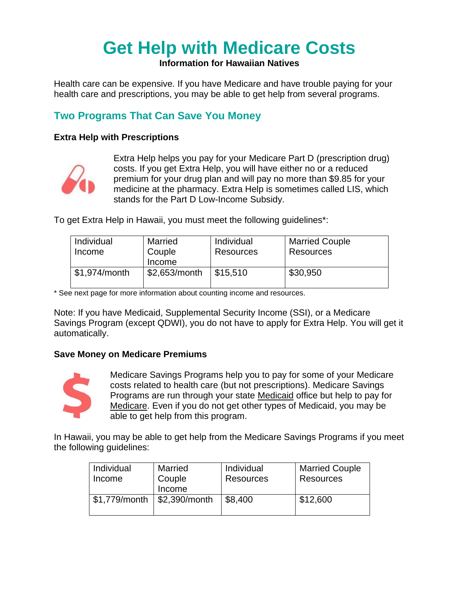# **Get Help with Medicare Costs**

**Information for Hawaiian Natives**

Health care can be expensive. If you have Medicare and have trouble paying for your health care and prescriptions, you may be able to get help from several programs.

## **Two Programs That Can Save You Money**

#### **Extra Help with Prescriptions**



Extra Help helps you pay for your Medicare Part D (prescription drug) costs. If you get Extra Help, you will have either no or a reduced premium for your drug plan and will pay no more than \$9.85 for your medicine at the pharmacy. Extra Help is sometimes called LIS, which stands for the Part D Low-Income Subsidy.

To get Extra Help in Hawaii, you must meet the following guidelines\*:

| Individual    | Married       | Individual       | <b>Married Couple</b> |
|---------------|---------------|------------------|-----------------------|
| Income        | Couple        | <b>Resources</b> | Resources             |
|               | Income        |                  |                       |
| \$1,974/month | \$2,653/month | \$15.510         | \$30,950              |
|               |               |                  |                       |

\* See next page for more information about counting income and resources.

Note: If you have Medicaid, Supplemental Security Income (SSI), or a Medicare Savings Program (except QDWI), you do not have to apply for Extra Help. You will get it automatically.

#### **Save Money on Medicare Premiums**



Medicare Savings Programs help you to pay for some of your Medicare costs related to health care (but not prescriptions). Medicare Savings Programs are run through your state Medicaid office but help to pay for Medicare. Even if you do not get other types of Medicaid, you may be able to get help from this program.

In Hawaii, you may be able to get help from the Medicare Savings Programs if you meet the following guidelines:

| Individual<br>Income | Married<br>Couple<br>Income | Individual<br><b>Resources</b> | <b>Married Couple</b><br>Resources |
|----------------------|-----------------------------|--------------------------------|------------------------------------|
| \$1,779/month        | \$2,390/month               | \$8,400                        | \$12,600                           |